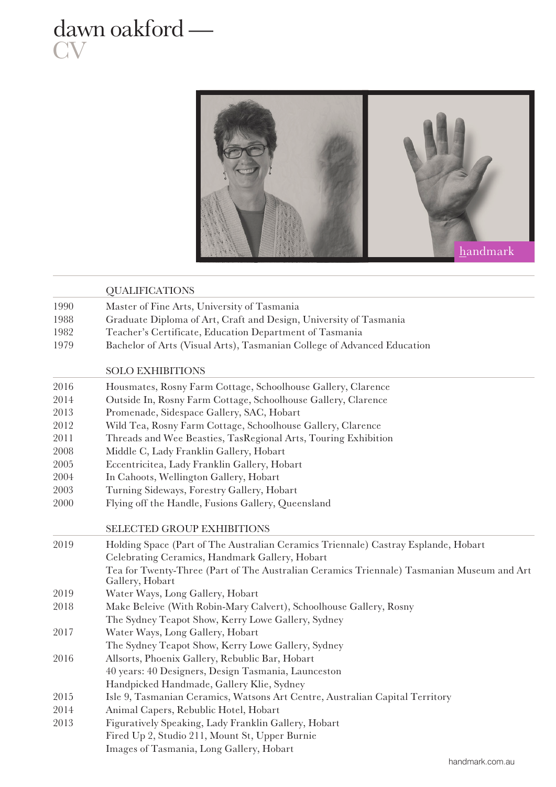## dawn oakford — **CV**



|      | <b>QUALIFICATIONS</b>                                                                                        |  |  |
|------|--------------------------------------------------------------------------------------------------------------|--|--|
| 1990 | Master of Fine Arts, University of Tasmania                                                                  |  |  |
| 1988 | Graduate Diploma of Art, Craft and Design, University of Tasmania                                            |  |  |
| 1982 | Teacher's Certificate, Education Department of Tasmania                                                      |  |  |
| 1979 | Bachelor of Arts (Visual Arts), Tasmanian College of Advanced Education                                      |  |  |
|      | <b>SOLO EXHIBITIONS</b>                                                                                      |  |  |
| 2016 | Housmates, Rosny Farm Cottage, Schoolhouse Gallery, Clarence                                                 |  |  |
| 2014 | Outside In, Rosny Farm Cottage, Schoolhouse Gallery, Clarence                                                |  |  |
| 2013 | Promenade, Sidespace Gallery, SAC, Hobart                                                                    |  |  |
| 2012 | Wild Tea, Rosny Farm Cottage, Schoolhouse Gallery, Clarence                                                  |  |  |
| 2011 | Threads and Wee Beasties, TasRegional Arts, Touring Exhibition                                               |  |  |
| 2008 | Middle C, Lady Franklin Gallery, Hobart                                                                      |  |  |
| 2005 | Eccentricitea, Lady Franklin Gallery, Hobart                                                                 |  |  |
| 2004 | In Cahoots, Wellington Gallery, Hobart                                                                       |  |  |
| 2003 | Turning Sideways, Forestry Gallery, Hobart                                                                   |  |  |
| 2000 | Flying off the Handle, Fusions Gallery, Queensland                                                           |  |  |
|      | <b>SELECTED GROUP EXHIBITIONS</b>                                                                            |  |  |
| 2019 | Holding Space (Part of The Australian Ceramics Triennale) Castray Esplande, Hobart                           |  |  |
|      | Celebrating Ceramics, Handmark Gallery, Hobart                                                               |  |  |
|      | Tea for Twenty-Three (Part of The Australian Ceramics Triennale) Tasmanian Museum and Art<br>Gallery, Hobart |  |  |
| 2019 | Water Ways, Long Gallery, Hobart                                                                             |  |  |
| 2018 | Make Beleive (With Robin-Mary Calvert), Schoolhouse Gallery, Rosny                                           |  |  |
|      | The Sydney Teapot Show, Kerry Lowe Gallery, Sydney                                                           |  |  |
| 2017 | Water Ways, Long Gallery, Hobart                                                                             |  |  |
|      | The Sydney Teapot Show, Kerry Lowe Gallery, Sydney                                                           |  |  |
| 2016 | Allsorts, Phoenix Gallery, Rebublic Bar, Hobart                                                              |  |  |
|      | 40 years: 40 Designers, Design Tasmania, Launceston                                                          |  |  |
|      | Handpicked Handmade, Gallery Klie, Sydney                                                                    |  |  |
| 2015 | Isle 9, Tasmanian Ceramics, Watsons Art Centre, Australian Capital Territory                                 |  |  |
| 2014 | Animal Capers, Rebublic Hotel, Hobart                                                                        |  |  |
| 2013 | Figuratively Speaking, Lady Franklin Gallery, Hobart                                                         |  |  |
|      | Fired Up 2, Studio 211, Mount St, Upper Burnie                                                               |  |  |
|      | Images of Tasmania, Long Gallery, Hobart                                                                     |  |  |